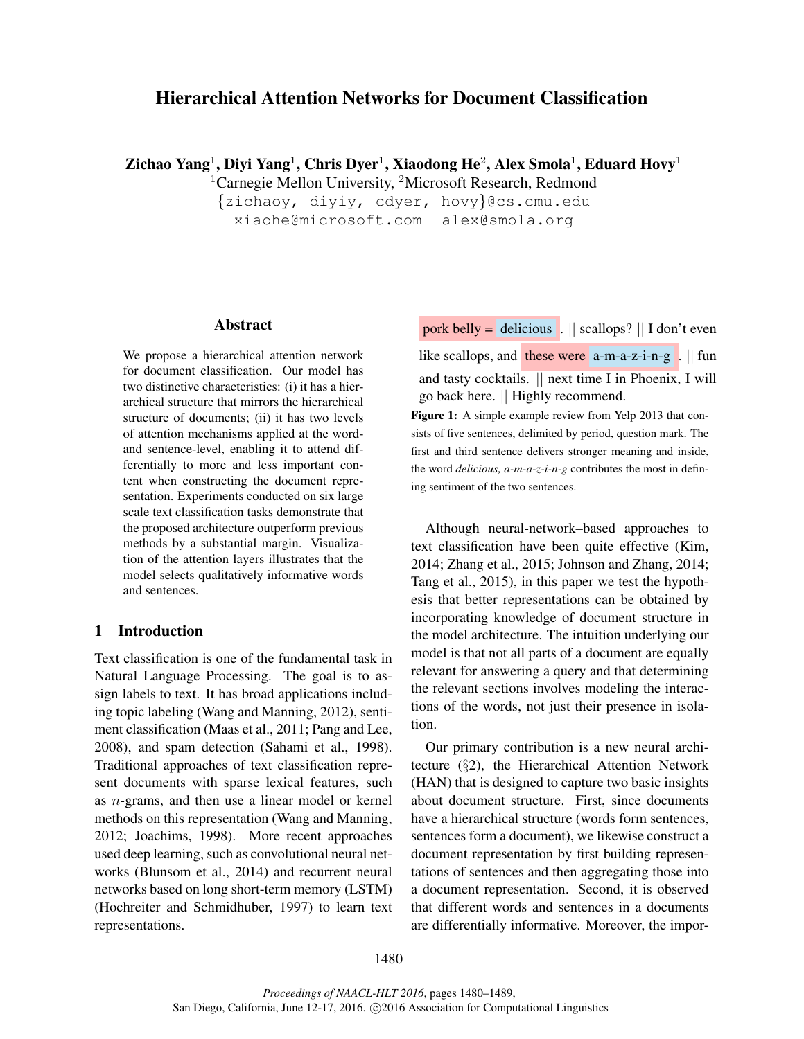# Hierarchical Attention Networks for Document Classification

Zichao Yang $^1$ , Diyi Yang $^1$ , Chris Dyer $^1$ , Xiaodong He $^2$ , Alex Smola $^1$ , Eduard Hovy $^1$ 

<sup>1</sup>Carnegie Mellon University, <sup>2</sup>Microsoft Research, Redmond

{zichaoy, diyiy, cdyer, hovy}@cs.cmu.edu xiaohe@microsoft.com alex@smola.org

## Abstract

We propose a hierarchical attention network for document classification. Our model has two distinctive characteristics: (i) it has a hierarchical structure that mirrors the hierarchical structure of documents; (ii) it has two levels of attention mechanisms applied at the wordand sentence-level, enabling it to attend differentially to more and less important content when constructing the document representation. Experiments conducted on six large scale text classification tasks demonstrate that the proposed architecture outperform previous methods by a substantial margin. Visualization of the attention layers illustrates that the model selects qualitatively informative words and sentences.

# 1 Introduction

Text classification is one of the fundamental task in Natural Language Processing. The goal is to assign labels to text. It has broad applications including topic labeling (Wang and Manning, 2012), sentiment classification (Maas et al., 2011; Pang and Lee, 2008), and spam detection (Sahami et al., 1998). Traditional approaches of text classification represent documents with sparse lexical features, such as n-grams, and then use a linear model or kernel methods on this representation (Wang and Manning, 2012; Joachims, 1998). More recent approaches used deep learning, such as convolutional neural networks (Blunsom et al., 2014) and recurrent neural networks based on long short-term memory (LSTM) (Hochreiter and Schmidhuber, 1997) to learn text representations.

pork belly = delicious .  $\parallel$  scallops?  $\parallel$  I don't even

like scallops, and these were  $a-m-a-z-i-n-g$ .  $||$  fun and tasty cocktails. || next time I in Phoenix, I will go back here. || Highly recommend.

Figure 1: A simple example review from Yelp 2013 that consists of five sentences, delimited by period, question mark. The first and third sentence delivers stronger meaning and inside, the word *delicious, a-m-a-z-i-n-g* contributes the most in defining sentiment of the two sentences.

Although neural-network–based approaches to text classification have been quite effective (Kim, 2014; Zhang et al., 2015; Johnson and Zhang, 2014; Tang et al., 2015), in this paper we test the hypothesis that better representations can be obtained by incorporating knowledge of document structure in the model architecture. The intuition underlying our model is that not all parts of a document are equally relevant for answering a query and that determining the relevant sections involves modeling the interactions of the words, not just their presence in isolation.

Our primary contribution is a new neural architecture (§2), the Hierarchical Attention Network (HAN) that is designed to capture two basic insights about document structure. First, since documents have a hierarchical structure (words form sentences, sentences form a document), we likewise construct a document representation by first building representations of sentences and then aggregating those into a document representation. Second, it is observed that different words and sentences in a documents are differentially informative. Moreover, the impor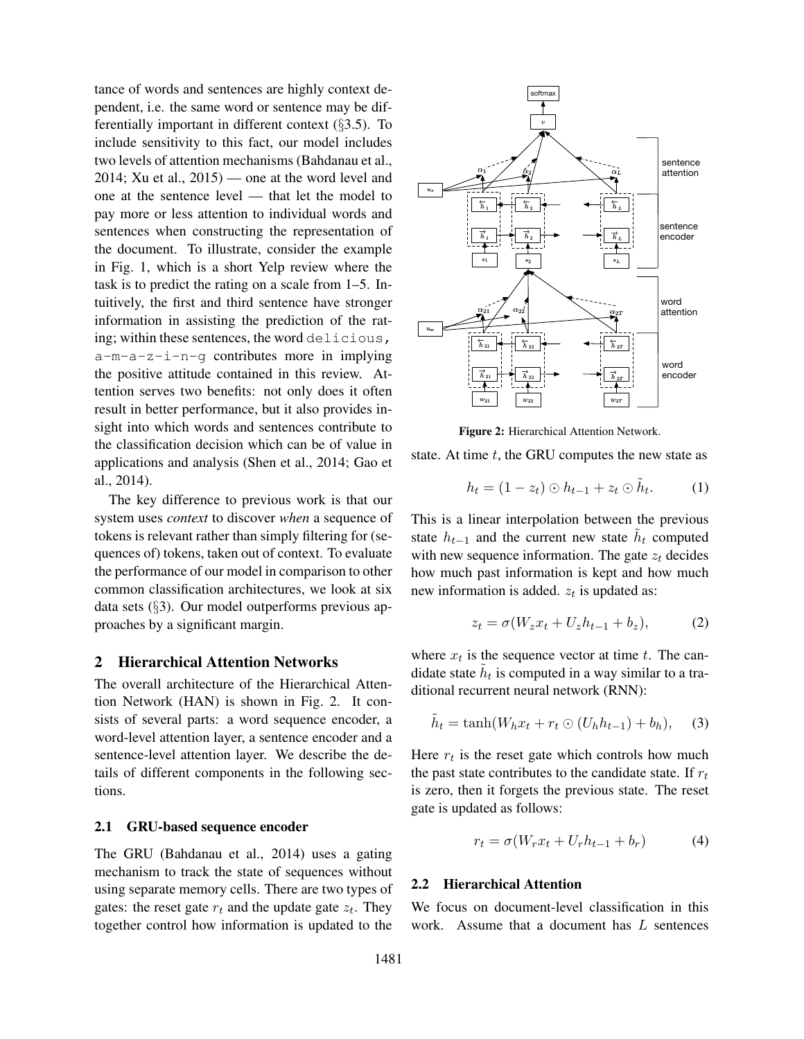tance of words and sentences are highly context dependent, i.e. the same word or sentence may be differentially important in different context  $(\S 3.5)$ . To include sensitivity to this fact, our model includes two levels of attention mechanisms (Bahdanau et al.,  $2014$ ; Xu et al.,  $2015$ ) — one at the word level and one at the sentence level — that let the model to pay more or less attention to individual words and sentences when constructing the representation of the document. To illustrate, consider the example in Fig. 1, which is a short Yelp review where the task is to predict the rating on a scale from 1–5. Intuitively, the first and third sentence have stronger information in assisting the prediction of the rating; within these sentences, the word delicious, a-m-a-z-i-n-g contributes more in implying the positive attitude contained in this review. Attention serves two benefits: not only does it often result in better performance, but it also provides insight into which words and sentences contribute to the classification decision which can be of value in applications and analysis (Shen et al., 2014; Gao et al., 2014).

The key difference to previous work is that our system uses *context* to discover *when* a sequence of tokens is relevant rather than simply filtering for (sequences of) tokens, taken out of context. To evaluate the performance of our model in comparison to other common classification architectures, we look at six data sets (§3). Our model outperforms previous approaches by a significant margin.

### 2 Hierarchical Attention Networks

The overall architecture of the Hierarchical Attention Network (HAN) is shown in Fig. 2. It consists of several parts: a word sequence encoder, a word-level attention layer, a sentence encoder and a sentence-level attention layer. We describe the details of different components in the following sections.

#### 2.1 GRU-based sequence encoder

The GRU (Bahdanau et al., 2014) uses a gating mechanism to track the state of sequences without using separate memory cells. There are two types of gates: the reset gate  $r_t$  and the update gate  $z_t$ . They together control how information is updated to the



Figure 2: Hierarchical Attention Network.

state. At time  $t$ , the GRU computes the new state as

$$
h_t = (1 - z_t) \odot h_{t-1} + z_t \odot \tilde{h}_t.
$$
 (1)

This is a linear interpolation between the previous state  $h_{t-1}$  and the current new state  $\tilde{h}_t$  computed with new sequence information. The gate  $z_t$  decides how much past information is kept and how much new information is added.  $z_t$  is updated as:

$$
z_t = \sigma(W_z x_t + U_z h_{t-1} + b_z), \tag{2}
$$

where  $x_t$  is the sequence vector at time t. The candidate state  $\tilde{h}_t$  is computed in a way similar to a traditional recurrent neural network (RNN):

$$
\tilde{h}_t = \tanh(W_h x_t + r_t \odot (U_h h_{t-1}) + b_h), \quad (3)
$$

Here  $r_t$  is the reset gate which controls how much the past state contributes to the candidate state. If  $r_t$ is zero, then it forgets the previous state. The reset gate is updated as follows:

$$
r_t = \sigma(W_r x_t + U_r h_{t-1} + b_r)
$$
 (4)

#### 2.2 Hierarchical Attention

We focus on document-level classification in this work. Assume that a document has  $L$  sentences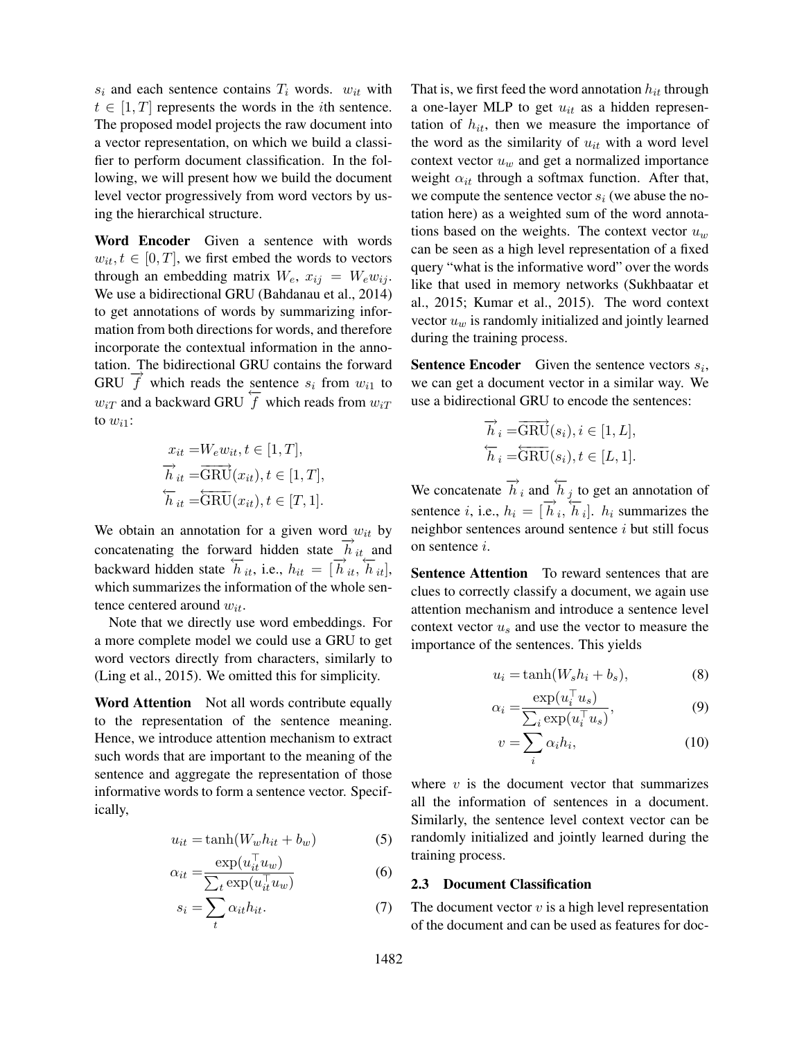$s_i$  and each sentence contains  $T_i$  words.  $w_{it}$  with  $t \in [1, T]$  represents the words in the *i*th sentence. The proposed model projects the raw document into a vector representation, on which we build a classifier to perform document classification. In the following, we will present how we build the document level vector progressively from word vectors by using the hierarchical structure.

Word Encoder Given a sentence with words  $w_{it}, t \in [0, T]$ , we first embed the words to vectors through an embedding matrix  $W_e$ ,  $x_{ij} = W_e w_{ij}$ . We use a bidirectional GRU (Bahdanau et al., 2014) to get annotations of words by summarizing information from both directions for words, and therefore incorporate the contextual information in the annotation. The bidirectional GRU contains the forward GRU  $\overrightarrow{f}$  which reads the sentence  $s_i$  from  $w_{i1}$  to  $w_{iT}$  and a backward GRU  $\overline{f}$  which reads from  $w_{iT}$ to  $w_{i1}$ :

$$
x_{it} = W_e w_{it}, t \in [1, T],
$$
  
\n
$$
\overrightarrow{h}_{it} = \overrightarrow{\text{GRU}}(x_{it}), t \in [1, T],
$$
  
\n
$$
\overleftarrow{h}_{it} = \overleftarrow{\text{GRU}}(x_{it}), t \in [T, 1].
$$

We obtain an annotation for a given word  $w_{it}$  by concatenating the forward hidden state  $\vec{h}_{it}$  and backward hidden state  $\overleftrightarrow{h}_{it}$ , i.e.,  $h_{it} = [\overrightarrow{h}_{it}, \overleftarrow{h}_{it}],$ which summarizes the information of the whole sentence centered around  $w_{it}$ .

Note that we directly use word embeddings. For a more complete model we could use a GRU to get word vectors directly from characters, similarly to (Ling et al., 2015). We omitted this for simplicity.

Word Attention Not all words contribute equally to the representation of the sentence meaning. Hence, we introduce attention mechanism to extract such words that are important to the meaning of the sentence and aggregate the representation of those informative words to form a sentence vector. Specifically,

$$
u_{it} = \tanh(W_w h_{it} + b_w) \tag{5}
$$

$$
\alpha_{it} = \frac{\exp(u_{it}^\top u_w)}{\sum_t \exp(u_{it}^\top u_w)}\tag{6}
$$

$$
s_i = \sum_t \alpha_{it} h_{it}.\tag{7}
$$

That is, we first feed the word annotation  $h_{it}$  through a one-layer MLP to get  $u_{it}$  as a hidden representation of  $h_{it}$ , then we measure the importance of the word as the similarity of  $u_{it}$  with a word level context vector  $u_w$  and get a normalized importance weight  $\alpha_{it}$  through a softmax function. After that, we compute the sentence vector  $s_i$  (we abuse the notation here) as a weighted sum of the word annotations based on the weights. The context vector  $u_w$ can be seen as a high level representation of a fixed query "what is the informative word" over the words like that used in memory networks (Sukhbaatar et al., 2015; Kumar et al., 2015). The word context vector  $u_w$  is randomly initialized and jointly learned during the training process.

**Sentence Encoder** Given the sentence vectors  $s_i$ , we can get a document vector in a similar way. We use a bidirectional GRU to encode the sentences:

$$
\overrightarrow{h}_i = \overrightarrow{\text{GRU}}(s_i), i \in [1, L],
$$
  

$$
\overleftarrow{h}_i = \overleftarrow{\text{GRU}}(s_i), t \in [L, 1].
$$

We concatenate  $\overrightarrow{h}_i$  and  $\overleftarrow{h}_j$  to get an annotation of sentence *i*, i.e.,  $h_i = [\overrightarrow{h}_i, \overleftarrow{h}_i]$ .  $h_i$  summarizes the neighbor sentences around sentence  $i$  but still focus on sentence i.

Sentence Attention To reward sentences that are clues to correctly classify a document, we again use attention mechanism and introduce a sentence level context vector  $u_s$  and use the vector to measure the importance of the sentences. This yields

$$
u_i = \tanh(W_s h_i + b_s),\tag{8}
$$

$$
\alpha_i = \frac{\exp(u_i^\top u_s)}{\sum_i \exp(u_i^\top u_s)},\tag{9}
$$

$$
v = \sum_{i} \alpha_i h_i,\tag{10}
$$

where  $v$  is the document vector that summarizes all the information of sentences in a document. Similarly, the sentence level context vector can be randomly initialized and jointly learned during the training process.

### 2.3 Document Classification

The document vector  $v$  is a high level representation of the document and can be used as features for doc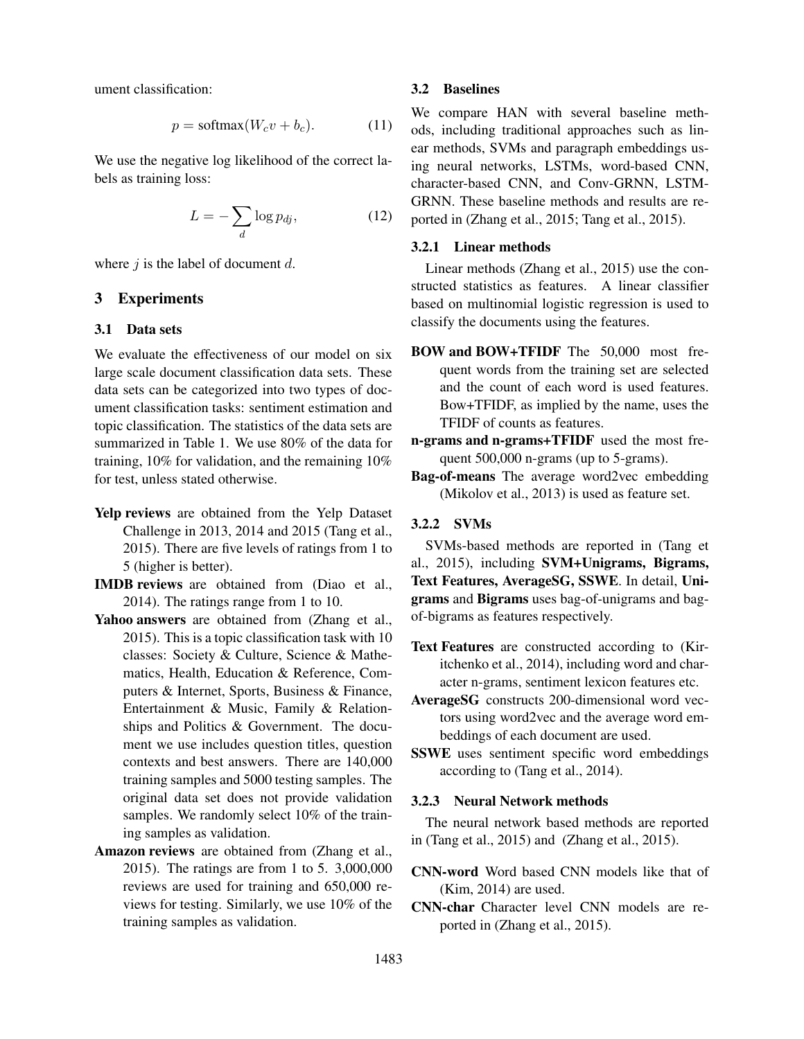ument classification:

$$
p = \text{softmax}(W_c v + b_c). \tag{11}
$$

We use the negative log likelihood of the correct labels as training loss:

$$
L = -\sum_{d} \log p_{dj},\tag{12}
$$

where  $j$  is the label of document  $d$ .

# 3 Experiments

### 3.1 Data sets

We evaluate the effectiveness of our model on six large scale document classification data sets. These data sets can be categorized into two types of document classification tasks: sentiment estimation and topic classification. The statistics of the data sets are summarized in Table 1. We use 80% of the data for training, 10% for validation, and the remaining 10% for test, unless stated otherwise.

- Yelp reviews are obtained from the Yelp Dataset Challenge in 2013, 2014 and 2015 (Tang et al., 2015). There are five levels of ratings from 1 to 5 (higher is better).
- IMDB reviews are obtained from (Diao et al., 2014). The ratings range from 1 to 10.
- Yahoo answers are obtained from (Zhang et al., 2015). This is a topic classification task with 10 classes: Society & Culture, Science & Mathematics, Health, Education & Reference, Computers & Internet, Sports, Business & Finance, Entertainment & Music, Family & Relationships and Politics & Government. The document we use includes question titles, question contexts and best answers. There are 140,000 training samples and 5000 testing samples. The original data set does not provide validation samples. We randomly select 10% of the training samples as validation.
- Amazon reviews are obtained from (Zhang et al., 2015). The ratings are from 1 to 5. 3,000,000 reviews are used for training and 650,000 reviews for testing. Similarly, we use 10% of the training samples as validation.

#### 3.2 Baselines

We compare HAN with several baseline methods, including traditional approaches such as linear methods, SVMs and paragraph embeddings using neural networks, LSTMs, word-based CNN, character-based CNN, and Conv-GRNN, LSTM-GRNN. These baseline methods and results are reported in (Zhang et al., 2015; Tang et al., 2015).

## 3.2.1 Linear methods

Linear methods (Zhang et al., 2015) use the constructed statistics as features. A linear classifier based on multinomial logistic regression is used to classify the documents using the features.

- BOW and BOW+TFIDF The 50,000 most frequent words from the training set are selected and the count of each word is used features. Bow+TFIDF, as implied by the name, uses the TFIDF of counts as features.
- n-grams and n-grams+TFIDF used the most frequent 500,000 n-grams (up to 5-grams).
- Bag-of-means The average word2vec embedding (Mikolov et al., 2013) is used as feature set.

# 3.2.2 SVMs

SVMs-based methods are reported in (Tang et al., 2015), including SVM+Unigrams, Bigrams, Text Features, AverageSG, SSWE. In detail, Unigrams and Bigrams uses bag-of-unigrams and bagof-bigrams as features respectively.

- Text Features are constructed according to (Kiritchenko et al., 2014), including word and character n-grams, sentiment lexicon features etc.
- AverageSG constructs 200-dimensional word vectors using word2vec and the average word embeddings of each document are used.
- SSWE uses sentiment specific word embeddings according to (Tang et al., 2014).

# 3.2.3 Neural Network methods

The neural network based methods are reported in (Tang et al., 2015) and (Zhang et al., 2015).

CNN-word Word based CNN models like that of (Kim, 2014) are used.

CNN-char Character level CNN models are reported in (Zhang et al., 2015).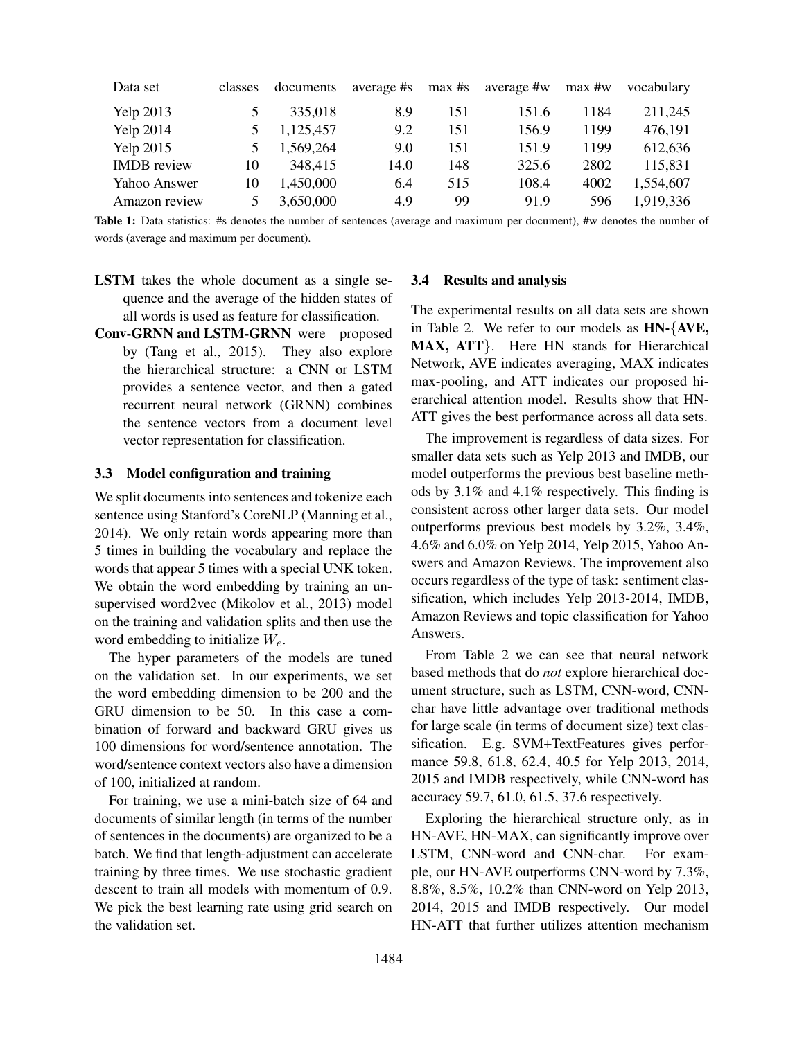| Data set           | classes | documents | average #s | $max$ #s | average #w | $max$ #w | vocabulary |
|--------------------|---------|-----------|------------|----------|------------|----------|------------|
| <b>Yelp 2013</b>   |         | 335,018   | 8.9        | 151      | 151.6      | 1184     | 211,245    |
| <b>Yelp 2014</b>   |         | 1,125,457 | 9.2        | 151      | 156.9      | 1199     | 476,191    |
| <b>Yelp 2015</b>   |         | 1,569,264 | 9.0        | 151      | 151.9      | 1199     | 612,636    |
| <b>IMDB</b> review | 10      | 348,415   | 14.0       | 148      | 325.6      | 2802     | 115,831    |
| Yahoo Answer       | 10      | 1,450,000 | 6.4        | 515      | 108.4      | 4002     | 1,554,607  |
| Amazon review      |         | 3,650,000 | 4.9        | 99       | 91.9       | 596      | 1,919,336  |

Table 1: Data statistics: #s denotes the number of sentences (average and maximum per document), #w denotes the number of words (average and maximum per document).

- LSTM takes the whole document as a single sequence and the average of the hidden states of all words is used as feature for classification.
- Conv-GRNN and LSTM-GRNN were proposed by (Tang et al., 2015). They also explore the hierarchical structure: a CNN or LSTM provides a sentence vector, and then a gated recurrent neural network (GRNN) combines the sentence vectors from a document level vector representation for classification.

#### 3.3 Model configuration and training

We split documents into sentences and tokenize each sentence using Stanford's CoreNLP (Manning et al., 2014). We only retain words appearing more than 5 times in building the vocabulary and replace the words that appear 5 times with a special UNK token. We obtain the word embedding by training an unsupervised word2vec (Mikolov et al., 2013) model on the training and validation splits and then use the word embedding to initialize  $W_e$ .

The hyper parameters of the models are tuned on the validation set. In our experiments, we set the word embedding dimension to be 200 and the GRU dimension to be 50. In this case a combination of forward and backward GRU gives us 100 dimensions for word/sentence annotation. The word/sentence context vectors also have a dimension of 100, initialized at random.

For training, we use a mini-batch size of 64 and documents of similar length (in terms of the number of sentences in the documents) are organized to be a batch. We find that length-adjustment can accelerate training by three times. We use stochastic gradient descent to train all models with momentum of 0.9. We pick the best learning rate using grid search on the validation set.

#### 3.4 Results and analysis

The experimental results on all data sets are shown in Table 2. We refer to our models as HN-{AVE, MAX, ATT}. Here HN stands for Hierarchical Network, AVE indicates averaging, MAX indicates max-pooling, and ATT indicates our proposed hierarchical attention model. Results show that HN-ATT gives the best performance across all data sets.

The improvement is regardless of data sizes. For smaller data sets such as Yelp 2013 and IMDB, our model outperforms the previous best baseline methods by 3.1% and 4.1% respectively. This finding is consistent across other larger data sets. Our model outperforms previous best models by 3.2%, 3.4%, 4.6% and 6.0% on Yelp 2014, Yelp 2015, Yahoo Answers and Amazon Reviews. The improvement also occurs regardless of the type of task: sentiment classification, which includes Yelp 2013-2014, IMDB, Amazon Reviews and topic classification for Yahoo Answers.

From Table 2 we can see that neural network based methods that do *not* explore hierarchical document structure, such as LSTM, CNN-word, CNNchar have little advantage over traditional methods for large scale (in terms of document size) text classification. E.g. SVM+TextFeatures gives performance 59.8, 61.8, 62.4, 40.5 for Yelp 2013, 2014, 2015 and IMDB respectively, while CNN-word has accuracy 59.7, 61.0, 61.5, 37.6 respectively.

Exploring the hierarchical structure only, as in HN-AVE, HN-MAX, can significantly improve over LSTM, CNN-word and CNN-char. For example, our HN-AVE outperforms CNN-word by 7.3%, 8.8%, 8.5%, 10.2% than CNN-word on Yelp 2013, 2014, 2015 and IMDB respectively. Our model HN-ATT that further utilizes attention mechanism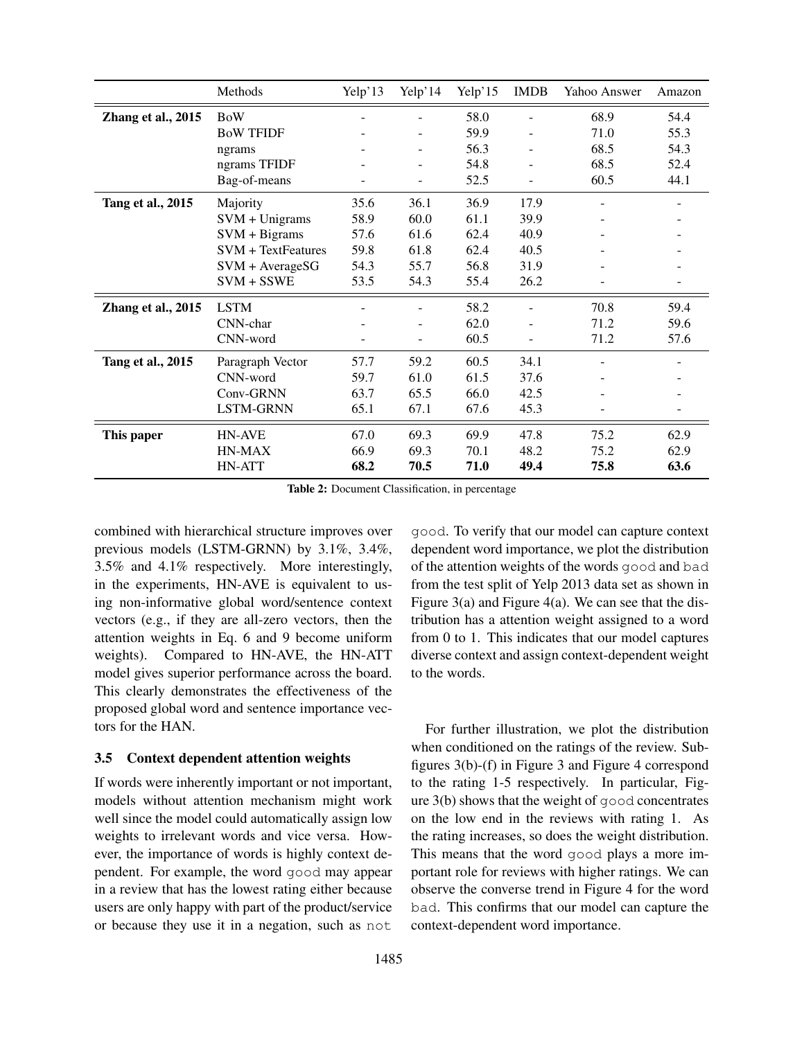|                    | Methods                   | Yelp'13        | Yelp'14 | Yelp'15 | <b>IMDB</b> | Yahoo Answer | Amazon |
|--------------------|---------------------------|----------------|---------|---------|-------------|--------------|--------|
| Zhang et al., 2015 | <b>BoW</b>                |                |         | 58.0    | ٠           | 68.9         | 54.4   |
|                    | <b>BoW TFIDF</b>          |                |         | 59.9    |             | 71.0         | 55.3   |
|                    | ngrams                    |                |         | 56.3    |             | 68.5         | 54.3   |
|                    | ngrams TFIDF              |                |         | 54.8    |             | 68.5         | 52.4   |
|                    | Bag-of-means              |                |         | 52.5    |             | 60.5         | 44.1   |
| Tang et al., 2015  | Majority                  | 35.6           | 36.1    | 36.9    | 17.9        |              |        |
|                    | $SVM + Unigrams$          | 58.9           | 60.0    | 61.1    | 39.9        |              |        |
|                    | $SVM + Bigrams$           | 57.6           | 61.6    | 62.4    | 40.9        |              |        |
|                    | <b>SVM</b> + TextFeatures | 59.8           | 61.8    | 62.4    | 40.5        |              |        |
|                    | $SVM + AverageSG$         | 54.3           | 55.7    | 56.8    | 31.9        |              |        |
|                    | $SVM + SSWE$              | 53.5           | 54.3    | 55.4    | 26.2        |              |        |
| Zhang et al., 2015 | <b>LSTM</b>               |                |         | 58.2    |             | 70.8         | 59.4   |
|                    | CNN-char                  |                |         | 62.0    |             | 71.2         | 59.6   |
|                    | CNN-word                  | $\blacksquare$ | ٠       | 60.5    | ÷           | 71.2         | 57.6   |
| Tang et al., 2015  | Paragraph Vector          | 57.7           | 59.2    | 60.5    | 34.1        |              |        |
|                    | CNN-word                  | 59.7           | 61.0    | 61.5    | 37.6        |              |        |
|                    | Conv-GRNN                 | 63.7           | 65.5    | 66.0    | 42.5        |              |        |
|                    | LSTM-GRNN                 | 65.1           | 67.1    | 67.6    | 45.3        |              |        |
| This paper         | <b>HN-AVE</b>             | 67.0           | 69.3    | 69.9    | 47.8        | 75.2         | 62.9   |
|                    | HN-MAX                    | 66.9           | 69.3    | 70.1    | 48.2        | 75.2         | 62.9   |
|                    | HN-ATT                    | 68.2           | 70.5    | 71.0    | 49.4        | 75.8         | 63.6   |

Table 2: Document Classification, in percentage

combined with hierarchical structure improves over previous models (LSTM-GRNN) by 3.1%, 3.4%, 3.5% and 4.1% respectively. More interestingly, in the experiments, HN-AVE is equivalent to using non-informative global word/sentence context vectors (e.g., if they are all-zero vectors, then the attention weights in Eq. 6 and 9 become uniform weights). Compared to HN-AVE, the HN-ATT model gives superior performance across the board. This clearly demonstrates the effectiveness of the proposed global word and sentence importance vectors for the HAN.

## 3.5 Context dependent attention weights

If words were inherently important or not important, models without attention mechanism might work well since the model could automatically assign low weights to irrelevant words and vice versa. However, the importance of words is highly context dependent. For example, the word good may appear in a review that has the lowest rating either because users are only happy with part of the product/service or because they use it in a negation, such as not

good. To verify that our model can capture context dependent word importance, we plot the distribution of the attention weights of the words good and bad from the test split of Yelp 2013 data set as shown in Figure  $3(a)$  and Figure  $4(a)$ . We can see that the distribution has a attention weight assigned to a word from 0 to 1. This indicates that our model captures diverse context and assign context-dependent weight to the words.

For further illustration, we plot the distribution when conditioned on the ratings of the review. Subfigures 3(b)-(f) in Figure 3 and Figure 4 correspond to the rating 1-5 respectively. In particular, Figure 3(b) shows that the weight of good concentrates on the low end in the reviews with rating 1. As the rating increases, so does the weight distribution. This means that the word good plays a more important role for reviews with higher ratings. We can observe the converse trend in Figure 4 for the word bad. This confirms that our model can capture the context-dependent word importance.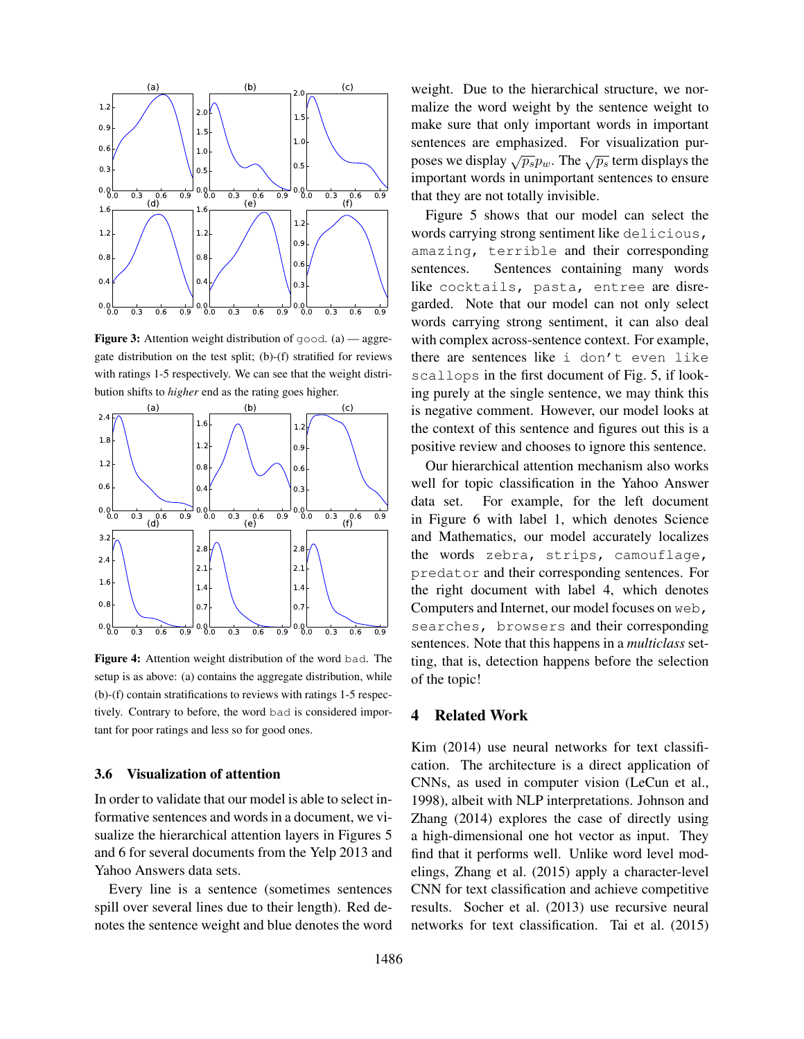

**Figure 3:** Attention weight distribution of good.  $(a)$  — aggregate distribution on the test split; (b)-(f) stratified for reviews with ratings 1-5 respectively. We can see that the weight distribution shifts to *higher* end as the rating goes higher.



Figure 4: Attention weight distribution of the word bad. The setup is as above: (a) contains the aggregate distribution, while (b)-(f) contain stratifications to reviews with ratings 1-5 respectively. Contrary to before, the word bad is considered important for poor ratings and less so for good ones.

# 3.6 Visualization of attention

In order to validate that our model is able to select informative sentences and words in a document, we visualize the hierarchical attention layers in Figures 5 and 6 for several documents from the Yelp 2013 and Yahoo Answers data sets.

Every line is a sentence (sometimes sentences spill over several lines due to their length). Red denotes the sentence weight and blue denotes the word weight. Due to the hierarchical structure, we normalize the word weight by the sentence weight to make sure that only important words in important sentences are emphasized. For visualization purposes we display  $\sqrt{p_s}p_w$ . The  $\sqrt{p_s}$  term displays the important words in unimportant sentences to ensure that they are not totally invisible.

Figure 5 shows that our model can select the words carrying strong sentiment like delicious, amazing, terrible and their corresponding sentences. Sentences containing many words like cocktails, pasta, entree are disregarded. Note that our model can not only select words carrying strong sentiment, it can also deal with complex across-sentence context. For example, there are sentences like i don't even like scallops in the first document of Fig. 5, if looking purely at the single sentence, we may think this is negative comment. However, our model looks at the context of this sentence and figures out this is a positive review and chooses to ignore this sentence.

Our hierarchical attention mechanism also works well for topic classification in the Yahoo Answer data set. For example, for the left document in Figure 6 with label 1, which denotes Science and Mathematics, our model accurately localizes the words zebra, strips, camouflage, predator and their corresponding sentences. For the right document with label 4, which denotes Computers and Internet, our model focuses on web, searches, browsers and their corresponding sentences. Note that this happens in a *multiclass* setting, that is, detection happens before the selection of the topic!

## 4 Related Work

Kim (2014) use neural networks for text classification. The architecture is a direct application of CNNs, as used in computer vision (LeCun et al., 1998), albeit with NLP interpretations. Johnson and Zhang (2014) explores the case of directly using a high-dimensional one hot vector as input. They find that it performs well. Unlike word level modelings, Zhang et al. (2015) apply a character-level CNN for text classification and achieve competitive results. Socher et al. (2013) use recursive neural networks for text classification. Tai et al. (2015)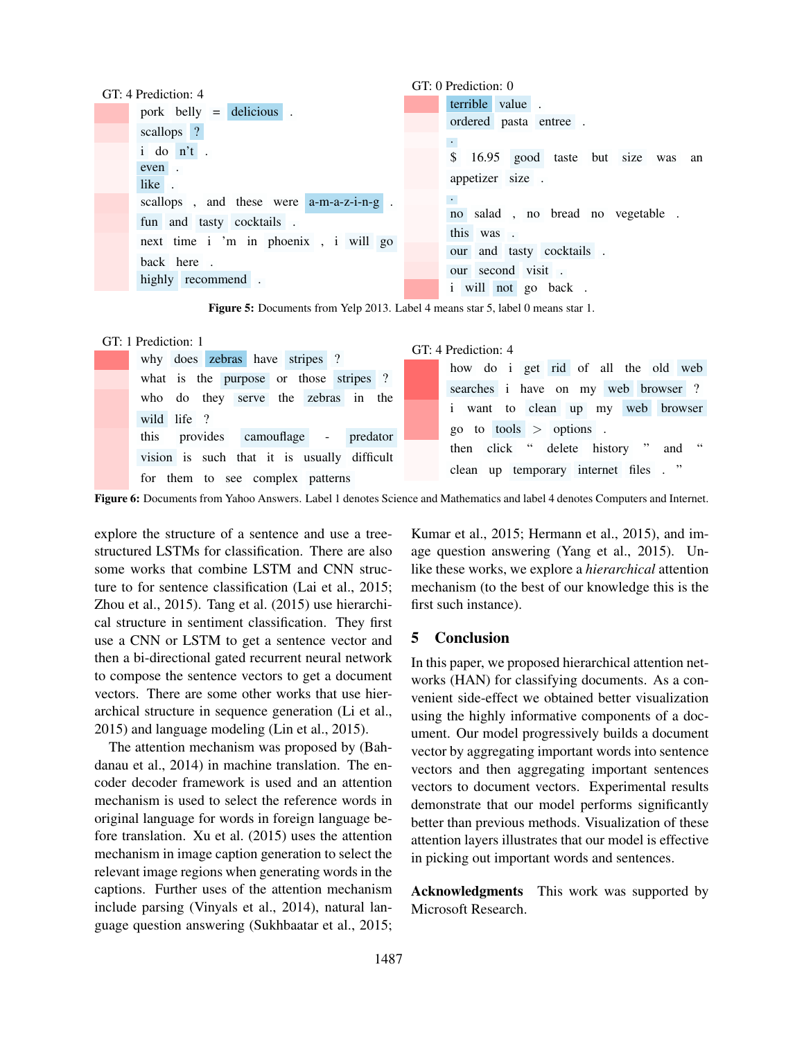|                                      | GT: 4 Prediction: 4                        | GT: 0 Prediction: 0                      |
|--------------------------------------|--------------------------------------------|------------------------------------------|
|                                      |                                            | terrible value.                          |
|                                      | pork belly $=$ delicious.                  | ordered pasta entree.                    |
|                                      | scallops ?                                 |                                          |
|                                      | i do n't.                                  | 16.95 good taste but size was an         |
|                                      | even.                                      |                                          |
|                                      | like.                                      | appetizer size.                          |
|                                      | scallops, and these were $a-m-a-z-i-n-g$ . | $\langle \cdot \rangle$                  |
|                                      | fun and tasty cocktails.                   | no salad, no bread no vegetable.         |
|                                      |                                            | this was.                                |
| next time i 'm in phoenix, i will go |                                            | our and tasty cocktails.                 |
|                                      | back here.                                 |                                          |
| highly recommend.                    |                                            | our second visit.<br>i will not go back. |
|                                      |                                            |                                          |

Figure 5: Documents from Yelp 2013. Label 4 means star 5, label 0 means star 1.

### GT: 1 Prediction: 1

|                                             | GT: 4 Prediction: 4                  |
|---------------------------------------------|--------------------------------------|
| why does zebras have stripes ?              | how do i get rid of all the old web  |
| what is the purpose or those stripes ?      |                                      |
| who do they serve the zebras in the         | searches i have on my web browser?   |
|                                             | i want to clean up my web browser    |
| wild life ?                                 |                                      |
| this provides camouflage - predator         | go to tools $>$ options.             |
|                                             | then click " delete history " and "  |
| vision is such that it is usually difficult | clean up temporary internet files. " |
| for them to see complex patterns            |                                      |

Figure 6: Documents from Yahoo Answers. Label 1 denotes Science and Mathematics and label 4 denotes Computers and Internet.

explore the structure of a sentence and use a treestructured LSTMs for classification. There are also some works that combine LSTM and CNN structure to for sentence classification (Lai et al., 2015; Zhou et al., 2015). Tang et al. (2015) use hierarchical structure in sentiment classification. They first use a CNN or LSTM to get a sentence vector and then a bi-directional gated recurrent neural network to compose the sentence vectors to get a document vectors. There are some other works that use hierarchical structure in sequence generation (Li et al., 2015) and language modeling (Lin et al., 2015).

The attention mechanism was proposed by (Bahdanau et al., 2014) in machine translation. The encoder decoder framework is used and an attention mechanism is used to select the reference words in original language for words in foreign language before translation. Xu et al. (2015) uses the attention mechanism in image caption generation to select the relevant image regions when generating words in the captions. Further uses of the attention mechanism include parsing (Vinyals et al., 2014), natural language question answering (Sukhbaatar et al., 2015; Kumar et al., 2015; Hermann et al., 2015), and image question answering (Yang et al., 2015). Unlike these works, we explore a *hierarchical* attention mechanism (to the best of our knowledge this is the first such instance).

# 5 Conclusion

In this paper, we proposed hierarchical attention networks (HAN) for classifying documents. As a convenient side-effect we obtained better visualization using the highly informative components of a document. Our model progressively builds a document vector by aggregating important words into sentence vectors and then aggregating important sentences vectors to document vectors. Experimental results demonstrate that our model performs significantly better than previous methods. Visualization of these attention layers illustrates that our model is effective in picking out important words and sentences.

Acknowledgments This work was supported by Microsoft Research.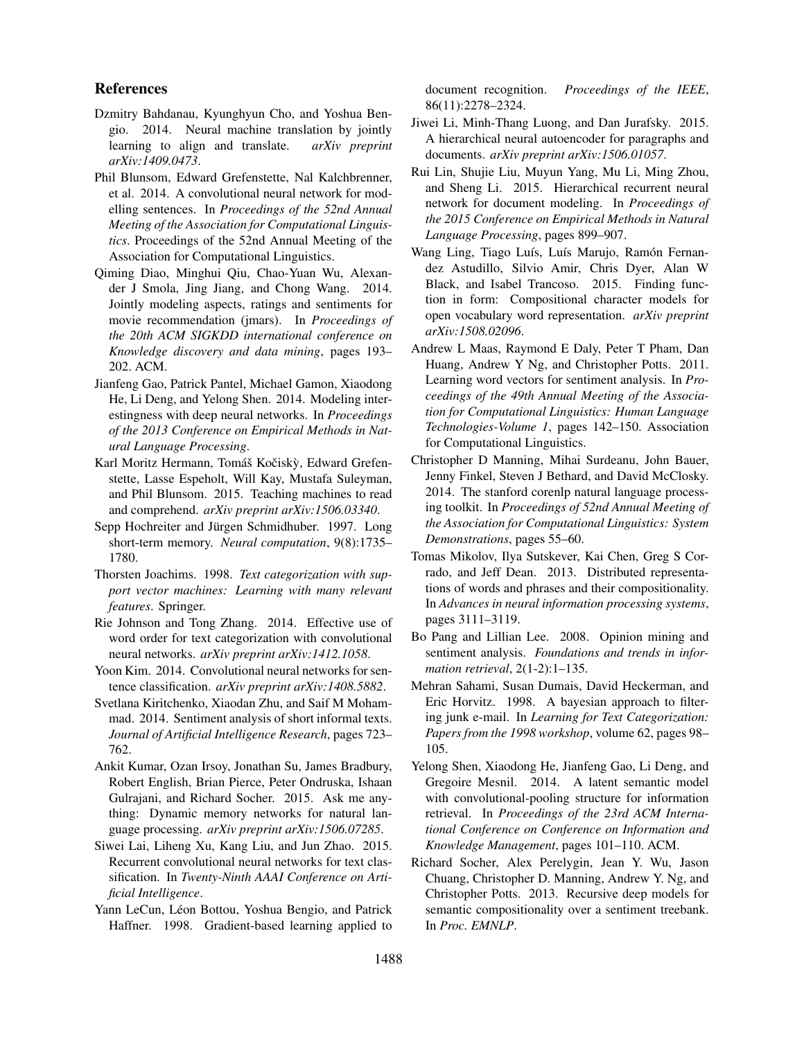### References

- Dzmitry Bahdanau, Kyunghyun Cho, and Yoshua Bengio. 2014. Neural machine translation by jointly learning to align and translate. *arXiv preprint arXiv:1409.0473*.
- Phil Blunsom, Edward Grefenstette, Nal Kalchbrenner, et al. 2014. A convolutional neural network for modelling sentences. In *Proceedings of the 52nd Annual Meeting of the Association for Computational Linguistics*. Proceedings of the 52nd Annual Meeting of the Association for Computational Linguistics.
- Qiming Diao, Minghui Qiu, Chao-Yuan Wu, Alexander J Smola, Jing Jiang, and Chong Wang. 2014. Jointly modeling aspects, ratings and sentiments for movie recommendation (jmars). In *Proceedings of the 20th ACM SIGKDD international conference on Knowledge discovery and data mining*, pages 193– 202. ACM.
- Jianfeng Gao, Patrick Pantel, Michael Gamon, Xiaodong He, Li Deng, and Yelong Shen. 2014. Modeling interestingness with deep neural networks. In *Proceedings of the 2013 Conference on Empirical Methods in Natural Language Processing*.
- Karl Moritz Hermann, Tomáš Kočiskỳ, Edward Grefenstette, Lasse Espeholt, Will Kay, Mustafa Suleyman, and Phil Blunsom. 2015. Teaching machines to read and comprehend. *arXiv preprint arXiv:1506.03340*.
- Sepp Hochreiter and Jürgen Schmidhuber. 1997. Long short-term memory. *Neural computation*, 9(8):1735– 1780.
- Thorsten Joachims. 1998. *Text categorization with support vector machines: Learning with many relevant features*. Springer.
- Rie Johnson and Tong Zhang. 2014. Effective use of word order for text categorization with convolutional neural networks. *arXiv preprint arXiv:1412.1058*.
- Yoon Kim. 2014. Convolutional neural networks for sentence classification. *arXiv preprint arXiv:1408.5882*.
- Svetlana Kiritchenko, Xiaodan Zhu, and Saif M Mohammad. 2014. Sentiment analysis of short informal texts. *Journal of Artificial Intelligence Research*, pages 723– 762.
- Ankit Kumar, Ozan Irsoy, Jonathan Su, James Bradbury, Robert English, Brian Pierce, Peter Ondruska, Ishaan Gulrajani, and Richard Socher. 2015. Ask me anything: Dynamic memory networks for natural language processing. *arXiv preprint arXiv:1506.07285*.
- Siwei Lai, Liheng Xu, Kang Liu, and Jun Zhao. 2015. Recurrent convolutional neural networks for text classification. In *Twenty-Ninth AAAI Conference on Artificial Intelligence*.
- Yann LeCun, Léon Bottou, Yoshua Bengio, and Patrick Haffner. 1998. Gradient-based learning applied to

document recognition. *Proceedings of the IEEE*, 86(11):2278–2324.

- Jiwei Li, Minh-Thang Luong, and Dan Jurafsky. 2015. A hierarchical neural autoencoder for paragraphs and documents. *arXiv preprint arXiv:1506.01057*.
- Rui Lin, Shujie Liu, Muyun Yang, Mu Li, Ming Zhou, and Sheng Li. 2015. Hierarchical recurrent neural network for document modeling. In *Proceedings of the 2015 Conference on Empirical Methods in Natural Language Processing*, pages 899–907.
- Wang Ling, Tiago Luís, Luís Marujo, Ramón Fernandez Astudillo, Silvio Amir, Chris Dyer, Alan W Black, and Isabel Trancoso. 2015. Finding function in form: Compositional character models for open vocabulary word representation. *arXiv preprint arXiv:1508.02096*.
- Andrew L Maas, Raymond E Daly, Peter T Pham, Dan Huang, Andrew Y Ng, and Christopher Potts. 2011. Learning word vectors for sentiment analysis. In *Proceedings of the 49th Annual Meeting of the Association for Computational Linguistics: Human Language Technologies-Volume 1*, pages 142–150. Association for Computational Linguistics.
- Christopher D Manning, Mihai Surdeanu, John Bauer, Jenny Finkel, Steven J Bethard, and David McClosky. 2014. The stanford corenlp natural language processing toolkit. In *Proceedings of 52nd Annual Meeting of the Association for Computational Linguistics: System Demonstrations*, pages 55–60.
- Tomas Mikolov, Ilya Sutskever, Kai Chen, Greg S Corrado, and Jeff Dean. 2013. Distributed representations of words and phrases and their compositionality. In *Advances in neural information processing systems*, pages 3111–3119.
- Bo Pang and Lillian Lee. 2008. Opinion mining and sentiment analysis. *Foundations and trends in information retrieval*, 2(1-2):1–135.
- Mehran Sahami, Susan Dumais, David Heckerman, and Eric Horvitz. 1998. A bayesian approach to filtering junk e-mail. In *Learning for Text Categorization: Papers from the 1998 workshop*, volume 62, pages 98– 105.
- Yelong Shen, Xiaodong He, Jianfeng Gao, Li Deng, and Gregoire Mesnil. 2014. A latent semantic model with convolutional-pooling structure for information retrieval. In *Proceedings of the 23rd ACM International Conference on Conference on Information and Knowledge Management*, pages 101–110. ACM.
- Richard Socher, Alex Perelygin, Jean Y. Wu, Jason Chuang, Christopher D. Manning, Andrew Y. Ng, and Christopher Potts. 2013. Recursive deep models for semantic compositionality over a sentiment treebank. In *Proc. EMNLP*.